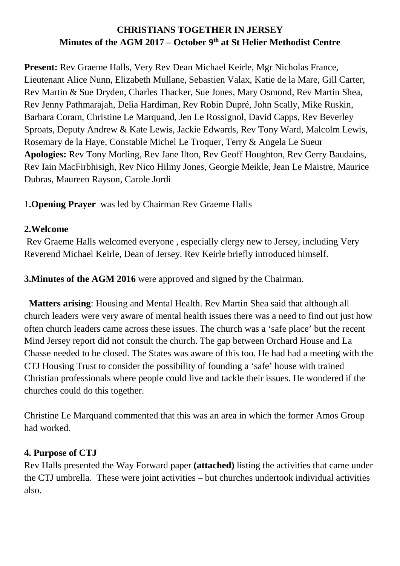## **CHRISTIANS TOGETHER IN JERSEY Minutes of the AGM 2017 – October 9th at St Helier Methodist Centre**

**Present:** Rev Graeme Halls, Very Rev Dean Michael Keirle, Mgr Nicholas France, Lieutenant Alice Nunn, Elizabeth Mullane, Sebastien Valax, Katie de la Mare, Gill Carter, Rev Martin & Sue Dryden, Charles Thacker, Sue Jones, Mary Osmond, Rev Martin Shea, Rev Jenny Pathmarajah, Delia Hardiman, Rev Robin Dupré, John Scally, Mike Ruskin, Barbara Coram, Christine Le Marquand, Jen Le Rossignol, David Capps, Rev Beverley Sproats, Deputy Andrew & Kate Lewis, Jackie Edwards, Rev Tony Ward, Malcolm Lewis, Rosemary de la Haye, Constable Michel Le Troquer, Terry & Angela Le Sueur **Apologies:** Rev Tony Morling, Rev Jane Ilton, Rev Geoff Houghton, Rev Gerry Baudains, Rev Iain MacFirbhisigh, Rev Nico Hilmy Jones, Georgie Meikle, Jean Le Maistre, Maurice Dubras, Maureen Rayson, Carole Jordi

1**.Opening Prayer** was led by Chairman Rev Graeme Halls

#### **2.Welcome**

 Rev Graeme Halls welcomed everyone , especially clergy new to Jersey, including Very Reverend Michael Keirle, Dean of Jersey. Rev Keirle briefly introduced himself.

**3. Minutes of the AGM 2016** were approved and signed by the Chairman.

 **Matters arising**: Housing and Mental Health. Rev Martin Shea said that although all church leaders were very aware of mental health issues there was a need to find out just how often church leaders came across these issues. The church was a 'safe place' but the recent Mind Jersey report did not consult the church. The gap between Orchard House and La Chasse needed to be closed. The States was aware of this too. He had had a meeting with the CTJ Housing Trust to consider the possibility of founding a 'safe' house with trained Christian professionals where people could live and tackle their issues. He wondered if the churches could do this together.

Christine Le Marquand commented that this was an area in which the former Amos Group had worked.

#### **4. Purpose of CTJ**

Rev Halls presented the Way Forward paper **(attached)** listing the activities that came under the CTJ umbrella. These were joint activities – but churches undertook individual activities also.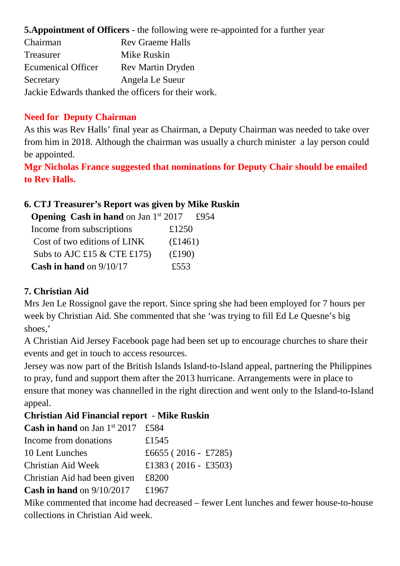**5.Appointment of Officers** - the following were re-appointed for a further year

| Chairman                  | <b>Rev Graeme Halls</b>                             |
|---------------------------|-----------------------------------------------------|
| <b>Treasurer</b>          | Mike Ruskin                                         |
| <b>Ecumenical Officer</b> | <b>Rev Martin Dryden</b>                            |
| Secretary                 | Angela Le Sueur                                     |
|                           | Jackie Edwards thanked the officers for their work. |

#### **Need for Deputy Chairman**

As this was Rev Halls' final year as Chairman, a Deputy Chairman was needed to take over from him in 2018. Although the chairman was usually a church minister a lay person could be appointed.

**Mgr Nicholas France suggested that nominations for Deputy Chair should be emailed to Rev Halls.** 

### **6. CTJ Treasurer's Report was given by Mike Ruskin**

| <b>Opening Cash in hand</b> on Jan $1st 2017$ |                | £954 |
|-----------------------------------------------|----------------|------|
| Income from subscriptions                     | £1250          |      |
| Cost of two editions of LINK                  | £1461)         |      |
| Subs to AJC £15 & CTE £175)                   | $(\pounds190)$ |      |
| <b>Cash in hand</b> on $9/10/17$              | £553           |      |

### **7. Christian Aid**

Mrs Jen Le Rossignol gave the report. Since spring she had been employed for 7 hours per week by Christian Aid. She commented that she 'was trying to fill Ed Le Quesne's big shoes,'

A Christian Aid Jersey Facebook page had been set up to encourage churches to share their events and get in touch to access resources.

Jersey was now part of the British Islands Island-to-Island appeal, partnering the Philippines to pray, fund and support them after the 2013 hurricane. Arrangements were in place to ensure that money was channelled in the right direction and went only to the Island-to-Island appeal.

### **Christian Aid Financial report** - **Mike Ruskin**

| <b>Cash in hand</b> on Jan $1^{st}$ 2017 £584 |
|-----------------------------------------------|
| £1545                                         |
| £6655 (2016 - £7285)                          |
| £1383 (2016 - £3503)                          |
| £8200                                         |
| £1967                                         |
|                                               |

Mike commented that income had decreased – fewer Lent lunches and fewer house-to-house collections in Christian Aid week.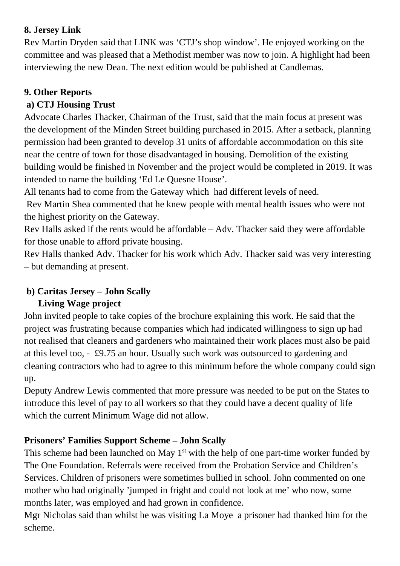## **8. Jersey Link**

Rev Martin Dryden said that LINK was 'CTJ's shop window'. He enjoyed working on the committee and was pleased that a Methodist member was now to join. A highlight had been interviewing the new Dean. The next edition would be published at Candlemas.

### **9. Other Reports**

## **a) CTJ Housing Trust**

Advocate Charles Thacker, Chairman of the Trust, said that the main focus at present was the development of the Minden Street building purchased in 2015. After a setback, planning permission had been granted to develop 31 units of affordable accommodation on this site near the centre of town for those disadvantaged in housing. Demolition of the existing building would be finished in November and the project would be completed in 2019. It was intended to name the building 'Ed Le Quesne House'.

All tenants had to come from the Gateway which had different levels of need.

 Rev Martin Shea commented that he knew people with mental health issues who were not the highest priority on the Gateway.

Rev Halls asked if the rents would be affordable – Adv. Thacker said they were affordable for those unable to afford private housing.

Rev Halls thanked Adv. Thacker for his work which Adv. Thacker said was very interesting – but demanding at present.

# **b) Caritas Jersey – John Scally**

### **Living Wage project**

John invited people to take copies of the brochure explaining this work. He said that the project was frustrating because companies which had indicated willingness to sign up had not realised that cleaners and gardeners who maintained their work places must also be paid at this level too, - £9.75 an hour. Usually such work was outsourced to gardening and cleaning contractors who had to agree to this minimum before the whole company could sign up.

Deputy Andrew Lewis commented that more pressure was needed to be put on the States to introduce this level of pay to all workers so that they could have a decent quality of life which the current Minimum Wage did not allow.

# **Prisoners' Families Support Scheme – John Scally**

This scheme had been launched on May  $1<sup>st</sup>$  with the help of one part-time worker funded by The One Foundation. Referrals were received from the Probation Service and Children's Services. Children of prisoners were sometimes bullied in school. John commented on one mother who had originally 'jumped in fright and could not look at me' who now, some months later, was employed and had grown in confidence.

Mgr Nicholas said than whilst he was visiting La Moye a prisoner had thanked him for the scheme.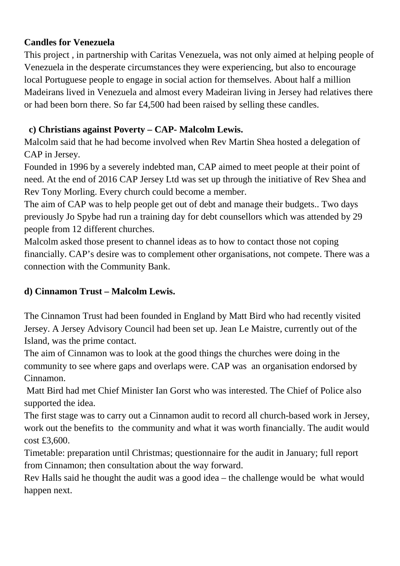#### **Candles for Venezuela**

This project , in partnership with Caritas Venezuela, was not only aimed at helping people of Venezuela in the desperate circumstances they were experiencing, but also to encourage local Portuguese people to engage in social action for themselves. About half a million Madeirans lived in Venezuela and almost every Madeiran living in Jersey had relatives there or had been born there. So far £4,500 had been raised by selling these candles.

#### **c) Christians against Poverty – CAP- Malcolm Lewis.**

Malcolm said that he had become involved when Rev Martin Shea hosted a delegation of CAP in Jersey.

Founded in 1996 by a severely indebted man, CAP aimed to meet people at their point of need. At the end of 2016 CAP Jersey Ltd was set up through the initiative of Rev Shea and Rev Tony Morling. Every church could become a member.

The aim of CAP was to help people get out of debt and manage their budgets.. Two days previously Jo Spybe had run a training day for debt counsellors which was attended by 29 people from 12 different churches.

Malcolm asked those present to channel ideas as to how to contact those not coping financially. CAP's desire was to complement other organisations, not compete. There was a connection with the Community Bank.

### **d) Cinnamon Trust – Malcolm Lewis.**

The Cinnamon Trust had been founded in England by Matt Bird who had recently visited Jersey. A Jersey Advisory Council had been set up. Jean Le Maistre, currently out of the Island, was the prime contact.

The aim of Cinnamon was to look at the good things the churches were doing in the community to see where gaps and overlaps were. CAP was an organisation endorsed by Cinnamon.

 Matt Bird had met Chief Minister Ian Gorst who was interested. The Chief of Police also supported the idea.

The first stage was to carry out a Cinnamon audit to record all church-based work in Jersey, work out the benefits to the community and what it was worth financially. The audit would cost £3,600.

Timetable: preparation until Christmas; questionnaire for the audit in January; full report from Cinnamon; then consultation about the way forward.

Rev Halls said he thought the audit was a good idea – the challenge would be what would happen next.